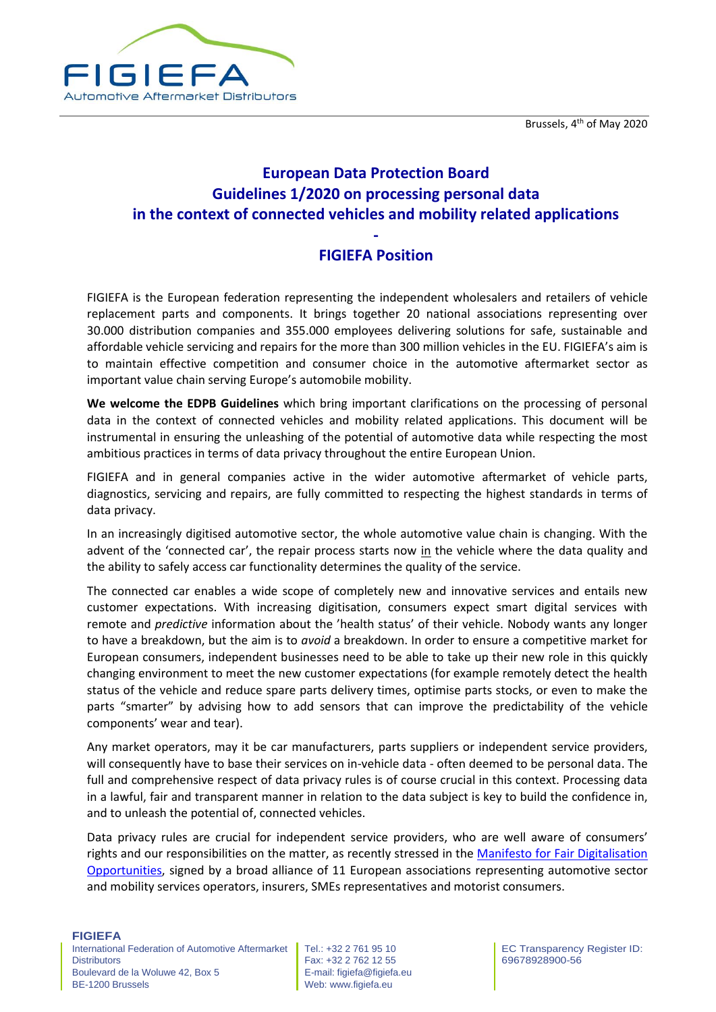

# **European Data Protection Board Guidelines 1/2020 on processing personal data in the context of connected vehicles and mobility related applications**

## **- FIGIEFA Position**

FIGIEFA is the European federation representing the independent wholesalers and retailers of vehicle replacement parts and components. It brings together 20 national associations representing over 30.000 distribution companies and 355.000 employees delivering solutions for safe, sustainable and affordable vehicle servicing and repairs for the more than 300 million vehicles in the EU. FIGIEFA's aim is to maintain effective competition and consumer choice in the automotive aftermarket sector as important value chain serving Europe's automobile mobility.

**We welcome the EDPB Guidelines** which bring important clarifications on the processing of personal data in the context of connected vehicles and mobility related applications. This document will be instrumental in ensuring the unleashing of the potential of automotive data while respecting the most ambitious practices in terms of data privacy throughout the entire European Union.

FIGIEFA and in general companies active in the wider automotive aftermarket of vehicle parts, diagnostics, servicing and repairs, are fully committed to respecting the highest standards in terms of data privacy.

In an increasingly digitised automotive sector, the whole automotive value chain is changing. With the advent of the 'connected car', the repair process starts now in the vehicle where the data quality and the ability to safely access car functionality determines the quality of the service.

The connected car enables a wide scope of completely new and innovative services and entails new customer expectations. With increasing digitisation, consumers expect smart digital services with remote and *predictive* information about the 'health status' of their vehicle. Nobody wants any longer to have a breakdown, but the aim is to *avoid* a breakdown. In order to ensure a competitive market for European consumers, independent businesses need to be able to take up their new role in this quickly changing environment to meet the new customer expectations (for example remotely detect the health status of the vehicle and reduce spare parts delivery times, optimise parts stocks, or even to make the parts "smarter" by advising how to add sensors that can improve the predictability of the vehicle components' wear and tear).

Any market operators, may it be car manufacturers, parts suppliers or independent service providers, will consequently have to base their services on in-vehicle data - often deemed to be personal data. The full and comprehensive respect of data privacy rules is of course crucial in this context. Processing data in a lawful, fair and transparent manner in relation to the data subject is key to build the confidence in, and to unleash the potential of, connected vehicles.

Data privacy rules are crucial for independent service providers, who are well aware of consumers' rights and our responsibilities on the matter, as recently stressed in the [Manifesto for Fair Digitalisation](https://www.direct-access.eu/manifesto)  [Opportunities,](https://www.direct-access.eu/manifesto) signed by a broad alliance of 11 European associations representing automotive sector and mobility services operators, insurers, SMEs representatives and motorist consumers.

#### **FIGIEFA**

International Federation of Automotive Aftermarket **Distributors** Boulevard de la Woluwe 42, Box 5 BE-1200 Brussels

Tel.: +32 2 761 95 10 Fax: +32 2 762 12 55 E-mail: figiefa@figiefa.eu Web: www.figiefa.eu

EC Transparency Register ID: 69678928900-56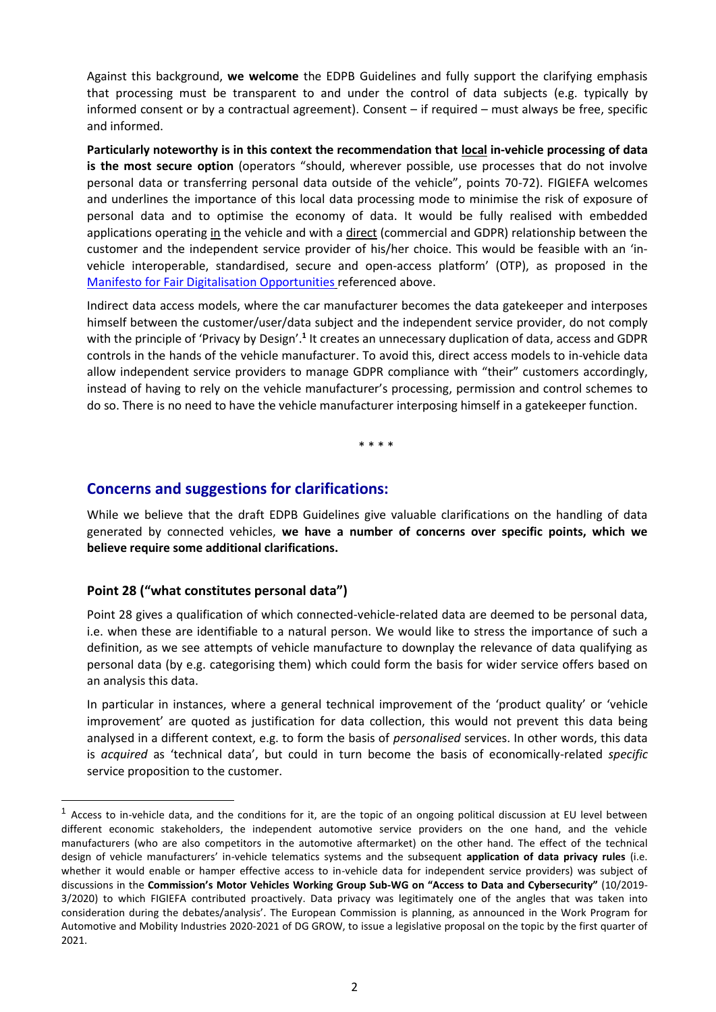Against this background, **we welcome** the EDPB Guidelines and fully support the clarifying emphasis that processing must be transparent to and under the control of data subjects (e.g. typically by informed consent or by a contractual agreement). Consent – if required – must always be free, specific and informed.

**Particularly noteworthy is in this context the recommendation that local in-vehicle processing of data is the most secure option** (operators "should, wherever possible, use processes that do not involve personal data or transferring personal data outside of the vehicle", points 70-72). FIGIEFA welcomes and underlines the importance of this local data processing mode to minimise the risk of exposure of personal data and to optimise the economy of data. It would be fully realised with embedded applications operating in the vehicle and with a direct (commercial and GDPR) relationship between the customer and the independent service provider of his/her choice. This would be feasible with an 'invehicle interoperable, standardised, secure and open-access platform' (OTP), as proposed in the [Manifesto for Fair Digitalisation Opportunities](https://www.direct-access.eu/manifesto) referenced above.

Indirect data access models, where the car manufacturer becomes the data gatekeeper and interposes himself between the customer/user/data subject and the independent service provider, do not comply with the principle of 'Privacy by Design'.<sup>1</sup> It creates an unnecessary duplication of data, access and GDPR controls in the hands of the vehicle manufacturer. To avoid this, direct access models to in-vehicle data allow independent service providers to manage GDPR compliance with "their" customers accordingly, instead of having to rely on the vehicle manufacturer's processing, permission and control schemes to do so. There is no need to have the vehicle manufacturer interposing himself in a gatekeeper function.

\* \* \* \*

### **Concerns and suggestions for clarifications:**

While we believe that the draft EDPB Guidelines give valuable clarifications on the handling of data generated by connected vehicles, **we have a number of concerns over specific points, which we believe require some additional clarifications.**

#### **Point 28 ("what constitutes personal data")**

Point 28 gives a qualification of which connected-vehicle-related data are deemed to be personal data, i.e. when these are identifiable to a natural person. We would like to stress the importance of such a definition, as we see attempts of vehicle manufacture to downplay the relevance of data qualifying as personal data (by e.g. categorising them) which could form the basis for wider service offers based on an analysis this data.

In particular in instances, where a general technical improvement of the 'product quality' or 'vehicle improvement' are quoted as justification for data collection, this would not prevent this data being analysed in a different context, e.g. to form the basis of *personalised* services. In other words, this data is *acquired* as 'technical data', but could in turn become the basis of economically-related *specific* service proposition to the customer.

Access to in-vehicle data, and the conditions for it, are the topic of an ongoing political discussion at EU level between different economic stakeholders, the independent automotive service providers on the one hand, and the vehicle manufacturers (who are also competitors in the automotive aftermarket) on the other hand. The effect of the technical design of vehicle manufacturers' in-vehicle telematics systems and the subsequent **application of data privacy rules** (i.e. whether it would enable or hamper effective access to in-vehicle data for independent service providers) was subject of discussions in the **Commission's Motor Vehicles Working Group Sub-WG on "Access to Data and Cybersecurity"** (10/2019- 3/2020) to which FIGIEFA contributed proactively. Data privacy was legitimately one of the angles that was taken into consideration during the debates/analysis'. The European Commission is planning, as announced in the Work Program for Automotive and Mobility Industries 2020-2021 of DG GROW, to issue a legislative proposal on the topic by the first quarter of 2021.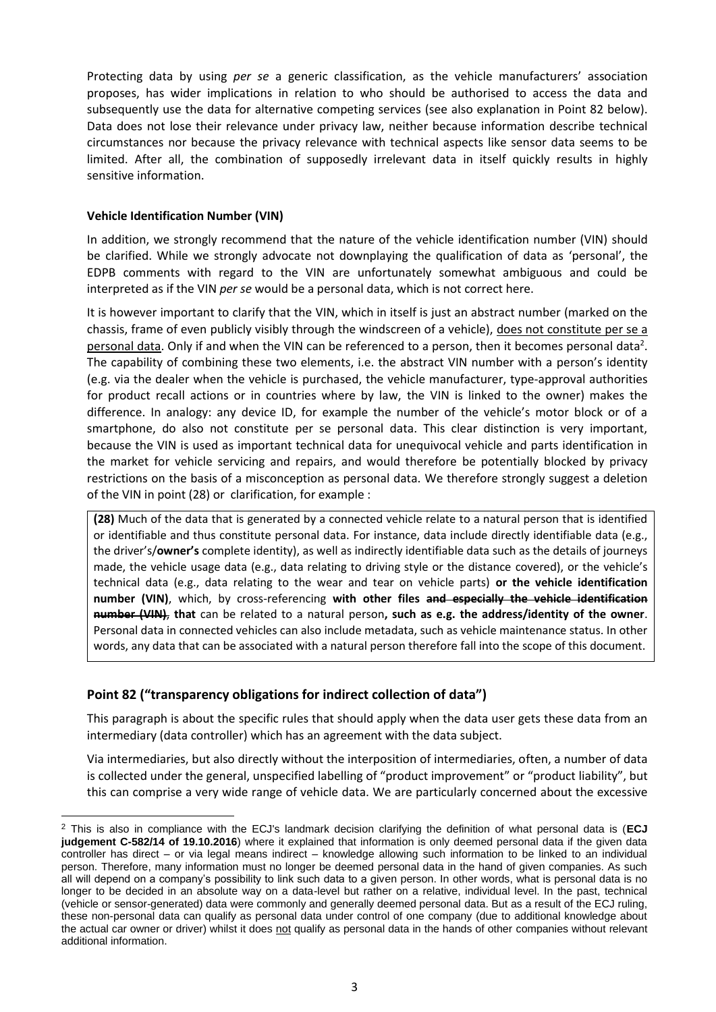Protecting data by using *per se* a generic classification, as the vehicle manufacturers' association proposes, has wider implications in relation to who should be authorised to access the data and subsequently use the data for alternative competing services (see also explanation in Point 82 below). Data does not lose their relevance under privacy law, neither because information describe technical circumstances nor because the privacy relevance with technical aspects like sensor data seems to be limited. After all, the combination of supposedly irrelevant data in itself quickly results in highly sensitive information.

#### **Vehicle Identification Number (VIN)**

In addition, we strongly recommend that the nature of the vehicle identification number (VIN) should be clarified. While we strongly advocate not downplaying the qualification of data as 'personal', the EDPB comments with regard to the VIN are unfortunately somewhat ambiguous and could be interpreted as if the VIN *per se* would be a personal data, which is not correct here.

It is however important to clarify that the VIN, which in itself is just an abstract number (marked on the chassis, frame of even publicly visibly through the windscreen of a vehicle), does not constitute per se a personal data. Only if and when the VIN can be referenced to a person, then it becomes personal data<sup>2</sup>. The capability of combining these two elements, i.e. the abstract VIN number with a person's identity (e.g. via the dealer when the vehicle is purchased, the vehicle manufacturer, type-approval authorities for product recall actions or in countries where by law, the VIN is linked to the owner) makes the difference. In analogy: any device ID, for example the number of the vehicle's motor block or of a smartphone, do also not constitute per se personal data. This clear distinction is very important, because the VIN is used as important technical data for unequivocal vehicle and parts identification in the market for vehicle servicing and repairs, and would therefore be potentially blocked by privacy restrictions on the basis of a misconception as personal data. We therefore strongly suggest a deletion of the VIN in point (28) or clarification, for example :

**(28)** Much of the data that is generated by a connected vehicle relate to a natural person that is identified or identifiable and thus constitute personal data. For instance, data include directly identifiable data (e.g., the driver's/**owner's** complete identity), as well as indirectly identifiable data such as the details of journeys made, the vehicle usage data (e.g., data relating to driving style or the distance covered), or the vehicle's technical data (e.g., data relating to the wear and tear on vehicle parts) **or the vehicle identification number (VIN)**, which, by cross-referencing **with other files and especially the vehicle identification number (VIN)**, **that** can be related to a natural person**, such as e.g. the address/identity of the owner**. Personal data in connected vehicles can also include metadata, such as vehicle maintenance status. In other words, any data that can be associated with a natural person therefore fall into the scope of this document.

#### **Point 82 ("transparency obligations for indirect collection of data")**

This paragraph is about the specific rules that should apply when the data user gets these data from an intermediary (data controller) which has an agreement with the data subject.

Via intermediaries, but also directly without the interposition of intermediaries, often, a number of data is collected under the general, unspecified labelling of "product improvement" or "product liability", but this can comprise a very wide range of vehicle data. We are particularly concerned about the excessive

<sup>2</sup> This is also in compliance with the ECJ's landmark decision clarifying the definition of what personal data is (**ECJ judgement C-582/14 of 19.10.2016**) where it explained that information is only deemed personal data if the given data controller has direct – or via legal means indirect – knowledge allowing such information to be linked to an individual person. Therefore, many information must no longer be deemed personal data in the hand of given companies. As such all will depend on a company's possibility to link such data to a given person. In other words, what is personal data is no longer to be decided in an absolute way on a data-level but rather on a relative, individual level. In the past, technical (vehicle or sensor-generated) data were commonly and generally deemed personal data. But as a result of the ECJ ruling, these non-personal data can qualify as personal data under control of one company (due to additional knowledge about the actual car owner or driver) whilst it does not qualify as personal data in the hands of other companies without relevant additional information.